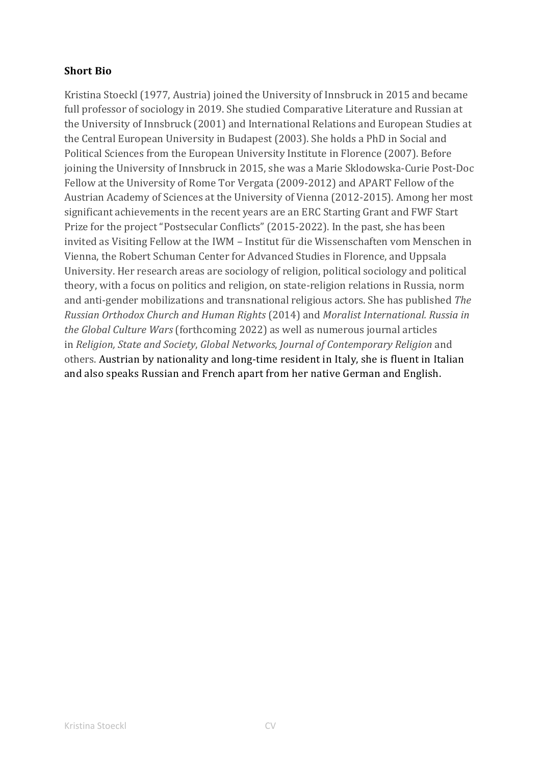## **Short Bio**

Kristina Stoeckl (1977, Austria) joined the University of Innsbruck in 2015 and became full professor of sociology in 2019. She studied Comparative Literature and Russian at the University of Innsbruck (2001) and International Relations and European Studies at the Central European University in Budapest (2003). She holds a PhD in Social and Political Sciences from the European University Institute in Florence (2007). Before joining the University of Innsbruck in 2015, she was a Marie Sklodowska-Curie Post-Doc Fellow at the University of Rome Tor Vergata (2009-2012) and APART Fellow of the Austrian Academy of Sciences at the University of Vienna (2012-2015). Among her most significant achievements in the recent years are an ERC Starting Grant and FWF Start Prize for the project "Postsecular Conflicts" (2015-2022). In the past, she has been invited as Visiting Fellow at the IWM – Institut für die Wissenschaften vom Menschen in Vienna, the Robert Schuman Center for Advanced Studies in Florence, and Uppsala University. Her research areas are sociology of religion, political sociology and political theory, with a focus on politics and religion, on state-religion relations in Russia, norm and anti-gender mobilizations and transnational religious actors. She has published *The Russian Orthodox Church and Human Rights* (2014) and *Moralist International. Russia in the Global Culture Wars* (forthcoming 2022) as well as numerous journal articles in *Religion, State and Society*, *Global Networks*, *Journal of Contemporary Religion* and others. Austrian by nationality and long-time resident in Italy, she is fluent in Italian and also speaks Russian and French apart from her native German and English.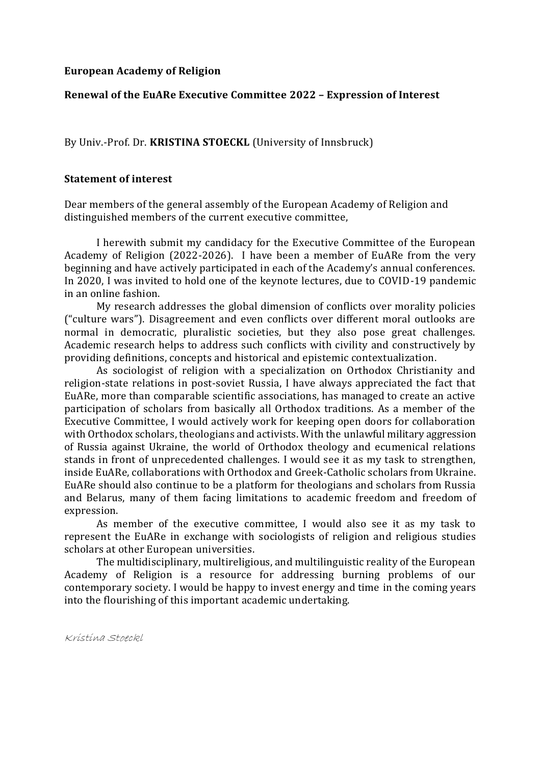#### **European Academy of Religion**

#### **Renewal of the EuARe Executive Committee 2022 – Expression of Interest**

By Univ.-Prof. Dr. **KRISTINA STOECKL** (University of Innsbruck)

#### **Statement of interest**

Dear members of the general assembly of the European Academy of Religion and distinguished members of the current executive committee,

I herewith submit my candidacy for the Executive Committee of the European Academy of Religion (2022-2026). I have been a member of EuARe from the very beginning and have actively participated in each of the Academy's annual conferences. In 2020, I was invited to hold one of the keynote lectures, due to COVID-19 pandemic in an online fashion.

My research addresses the global dimension of conflicts over morality policies ("culture wars"). Disagreement and even conflicts over different moral outlooks are normal in democratic, pluralistic societies, but they also pose great challenges. Academic research helps to address such conflicts with civility and constructively by providing definitions, concepts and historical and epistemic contextualization.

As sociologist of religion with a specialization on Orthodox Christianity and religion-state relations in post-soviet Russia, I have always appreciated the fact that EuARe, more than comparable scientific associations, has managed to create an active participation of scholars from basically all Orthodox traditions. As a member of the Executive Committee, I would actively work for keeping open doors for collaboration with Orthodox scholars, theologians and activists. With the unlawful military aggression of Russia against Ukraine, the world of Orthodox theology and ecumenical relations stands in front of unprecedented challenges. I would see it as my task to strengthen, inside EuARe, collaborations with Orthodox and Greek-Catholic scholars from Ukraine. EuARe should also continue to be a platform for theologians and scholars from Russia and Belarus, many of them facing limitations to academic freedom and freedom of expression.

As member of the executive committee, I would also see it as my task to represent the EuARe in exchange with sociologists of religion and religious studies scholars at other European universities.

The multidisciplinary, multireligious, and multilinguistic reality of the European Academy of Religion is a resource for addressing burning problems of our contemporary society. I would be happy to invest energy and time in the coming years into the flourishing of this important academic undertaking.

Kristina Stoeckl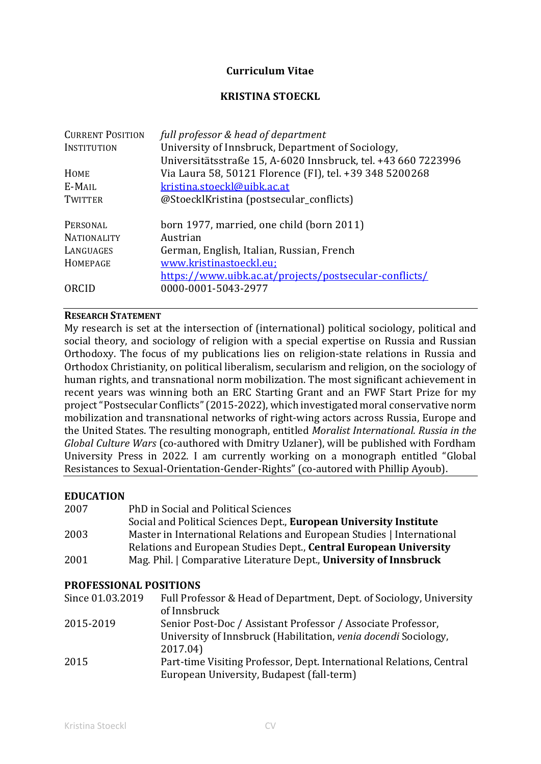## **Curriculum Vitae**

## **KRISTINA STOECKL**

| <b>CURRENT POSITION</b> | full professor & head of department                           |  |
|-------------------------|---------------------------------------------------------------|--|
| <b>INSTITUTION</b>      | University of Innsbruck, Department of Sociology,             |  |
|                         | Universitätsstraße 15, A-6020 Innsbruck, tel. +43 660 7223996 |  |
| HOME                    | Via Laura 58, 50121 Florence (FI), tel. +39 348 5200268       |  |
| E-MAIL                  | kristina.stoeckl@uibk.ac.at                                   |  |
| <b>TWITTER</b>          | @StoecklKristina (postsecular_conflicts)                      |  |
|                         |                                                               |  |
| PERSONAL                | born 1977, married, one child (born 2011)                     |  |
| <b>NATIONALITY</b>      | Austrian                                                      |  |
| LANGUAGES               | German, English, Italian, Russian, French                     |  |
| HOMEPAGE                | www.kristinastoeckl.eu;                                       |  |
|                         | https://www.uibk.ac.at/projects/postsecular-conflicts/        |  |
| ORCID                   | 0000-0001-5043-2977                                           |  |
|                         |                                                               |  |

#### **RESEARCH STATEMENT**

My research is set at the intersection of (international) political sociology, political and social theory, and sociology of religion with a special expertise on Russia and Russian Orthodoxy. The focus of my publications lies on religion-state relations in Russia and Orthodox Christianity, on political liberalism, secularism and religion, on the sociology of human rights, and transnational norm mobilization. The most significant achievement in recent years was winning both an ERC Starting Grant and an FWF Start Prize for my project "Postsecular Conflicts" (2015-2022), which investigated moral conservative norm mobilization and transnational networks of right-wing actors across Russia, Europe and the United States. The resulting monograph, entitled *Moralist International. Russia in the Global Culture Wars* (co-authored with Dmitry Uzlaner), will be published with Fordham University Press in 2022. I am currently working on a monograph entitled "Global Resistances to Sexual-Orientation-Gender-Rights" (co-autored with Phillip Ayoub).

#### **EDUCATION**

| 2007 | PhD in Social and Political Sciences                                   |
|------|------------------------------------------------------------------------|
|      | Social and Political Sciences Dept., European University Institute     |
| 2003 | Master in International Relations and European Studies   International |
|      | Relations and European Studies Dept., Central European University      |
| 2001 | Mag. Phil.   Comparative Literature Dept., University of Innsbruck     |

#### **PROFESSIONAL POSITIONS**

| Since 01.03.2019 | Full Professor & Head of Department, Dept. of Sociology, University  |
|------------------|----------------------------------------------------------------------|
|                  | of Innsbruck                                                         |
| 2015-2019        | Senior Post-Doc / Assistant Professor / Associate Professor,         |
|                  | University of Innsbruck (Habilitation, venia docendi Sociology,      |
|                  | 2017.04)                                                             |
| 2015             | Part-time Visiting Professor, Dept. International Relations, Central |
|                  | European University, Budapest (fall-term)                            |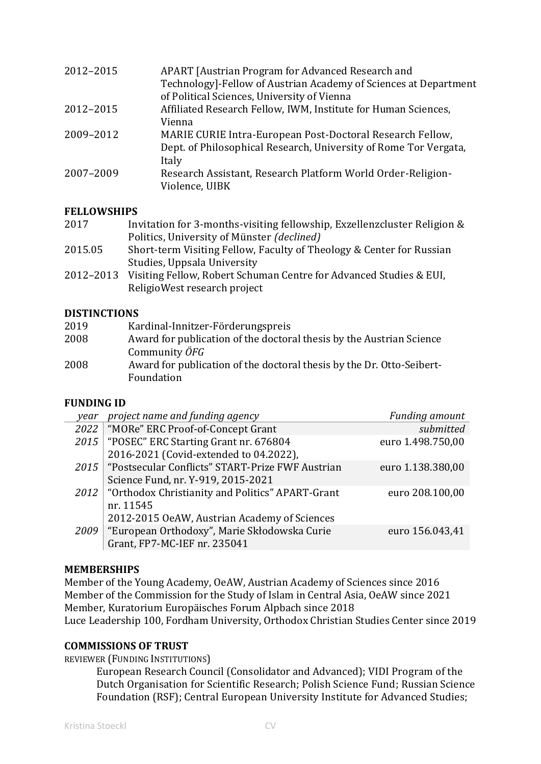| 2012-2015 | APART [Austrian Program for Advanced Research and<br>Technology]-Fellow of Austrian Academy of Sciences at Department<br>of Political Sciences, University of Vienna |
|-----------|----------------------------------------------------------------------------------------------------------------------------------------------------------------------|
| 2012-2015 | Affiliated Research Fellow, IWM, Institute for Human Sciences,<br>Vienna                                                                                             |
| 2009-2012 | MARIE CURIE Intra-European Post-Doctoral Research Fellow,<br>Dept. of Philosophical Research, University of Rome Tor Vergata,<br>Italy                               |
| 2007-2009 | Research Assistant, Research Platform World Order-Religion-<br>Violence, UIBK                                                                                        |

# **FELLOWSHIPS**

| 2017 | Invitation for 3-months-visiting fellowship, Exzellenz cluster Religion & |
|------|---------------------------------------------------------------------------|
|      | Politics, University of Münster (declined)                                |

- 2015.05 Short-term Visiting Fellow, Faculty of Theology & Center for Russian Studies, Uppsala University
- 2012–2013 Visiting Fellow, Robert Schuman Centre for Advanced Studies & EUI, ReligioWest research project

# **DISTINCTIONS**

| 2019 | Kardinal-Innitzer-Förderungspreis                                     |
|------|-----------------------------------------------------------------------|
| 2008 | Award for publication of the doctoral thesis by the Austrian Science  |
|      | Community ÖFG                                                         |
| 2008 | Award for publication of the doctoral thesis by the Dr. Otto-Seibert- |
|      | Foundation                                                            |

## **FUNDING ID**

| year | project name and funding agency                         | Funding amount    |
|------|---------------------------------------------------------|-------------------|
| 2022 | "MORe" ERC Proof-of-Concept Grant                       | submitted         |
| 2015 | "POSEC" ERC Starting Grant nr. 676804                   | euro 1.498.750,00 |
|      | 2016-2021 (Covid-extended to 04.2022),                  |                   |
| 2015 | "Postsecular Conflicts" START-Prize FWF Austrian        | euro 1.138.380,00 |
|      | Science Fund, nr. Y-919, 2015-2021                      |                   |
|      | 2012   "Orthodox Christianity and Politics" APART-Grant | euro 208.100,00   |
|      | nr. 11545                                               |                   |
|      | 2012-2015 OeAW, Austrian Academy of Sciences            |                   |
| 2009 | "European Orthodoxy", Marie Skłodowska Curie            | euro 156.043,41   |
|      | Grant, FP7-MC-IEF nr. 235041                            |                   |

## **MEMBERSHIPS**

Member of the Young Academy, OeAW, Austrian Academy of Sciences since 2016 Member of the Commission for the Study of Islam in Central Asia, OeAW since 2021 Member, Kuratorium Europäisches Forum Alpbach since 2018 Luce Leadership 100, Fordham University, Orthodox Christian Studies Center since 2019

## **COMMISSIONS OF TRUST**

REVIEWER (FUNDING INSTITUTIONS)

European Research Council (Consolidator and Advanced); VIDI Program of the Dutch Organisation for Scientific Research; Polish Science Fund; Russian Science Foundation (RSF); Central European University Institute for Advanced Studies;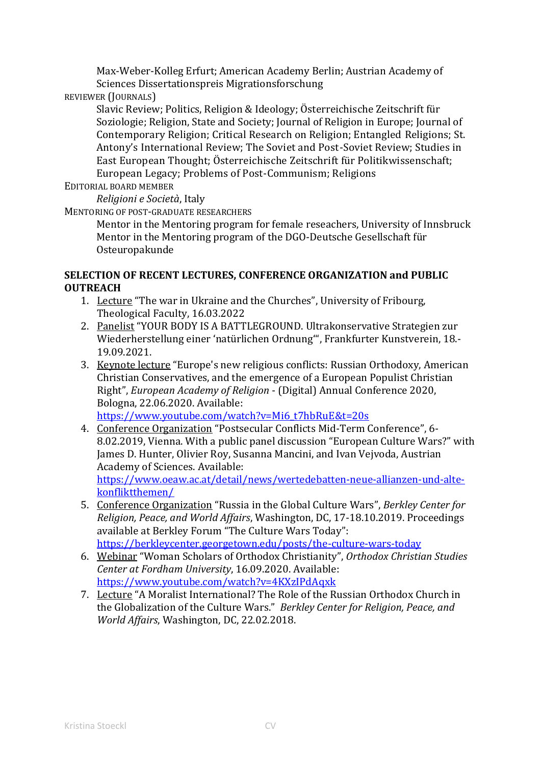Max-Weber-Kolleg Erfurt; American Academy Berlin; Austrian Academy of Sciences Dissertationspreis Migrationsforschung

REVIEWER (JOURNALS)

Slavic Review; Politics, Religion & Ideology; Österreichische Zeitschrift für Soziologie; Religion, State and Society; Journal of Religion in Europe; Journal of Contemporary Religion; Critical Research on Religion; Entangled Religions; St. Antony's International Review; The Soviet and Post-Soviet Review; Studies in East European Thought; Österreichische Zeitschrift für Politikwissenschaft; European Legacy; Problems of Post-Communism; Religions

EDITORIAL BOARD MEMBER

*Religioni e Società*, Italy

MENTORING OF POST-GRADUATE RESEARCHERS

Mentor in the Mentoring program for female reseachers, University of Innsbruck Mentor in the Mentoring program of the DGO-Deutsche Gesellschaft für Osteuropakunde

# **SELECTION OF RECENT LECTURES, CONFERENCE ORGANIZATION and PUBLIC OUTREACH**

- 1. Lecture "The war in Ukraine and the Churches", University of Fribourg, Theological Faculty, 16.03.2022
- 2. Panelist "YOUR BODY IS A BATTLEGROUND. Ultrakonservative Strategien zur Wiederherstellung einer 'natürlichen Ordnung'", Frankfurter Kunstverein, 18.- 19.09.2021.
- 3. Keynote lecture "Europe's new religious conflicts: Russian Orthodoxy, American Christian Conservatives, and the emergence of a European Populist Christian Right", *European Academy of Religion* - (Digital) Annual Conference 2020, Bologna, 22.06.2020. Available: [https://www.youtube.com/watch?v=Mi6\\_t7hbRuE&t=20s](https://www.youtube.com/watch?v=Mi6_t7hbRuE&t=20s)
- 4. Conference Organization "Postsecular Conflicts Mid-Term Conference", 6- 8.02.2019, Vienna. With a public panel discussion "European Culture Wars?" with James D. Hunter, Olivier Roy, Susanna Mancini, and Ivan Vejvoda, Austrian Academy of Sciences. Available: [https://www.oeaw.ac.at/detail/news/wertedebatten-neue-allianzen-und-alte](https://www.oeaw.ac.at/detail/news/wertedebatten-neue-allianzen-und-alte-konfliktthemen/)[konfliktthemen/](https://www.oeaw.ac.at/detail/news/wertedebatten-neue-allianzen-und-alte-konfliktthemen/)
- 5. Conference Organization "Russia in the Global Culture Wars", *Berkley Center for Religion, Peace, and World Affairs*, Washington, DC, 17-18.10.2019. Proceedings available at Berkley Forum "The Culture Wars Today": <https://berkleycenter.georgetown.edu/posts/the-culture-wars-today>
- 6. Webinar "Woman Scholars of Orthodox Christianity", *Orthodox Christian Studies Center at Fordham University*, 16.09.2020. Available: <https://www.youtube.com/watch?v=4KXzIPdAqxk>
- 7. Lecture "A Moralist International? The Role of the Russian Orthodox Church in the Globalization of the Culture Wars." *Berkley Center for Religion, Peace, and World Affairs*, Washington, DC, 22.02.2018.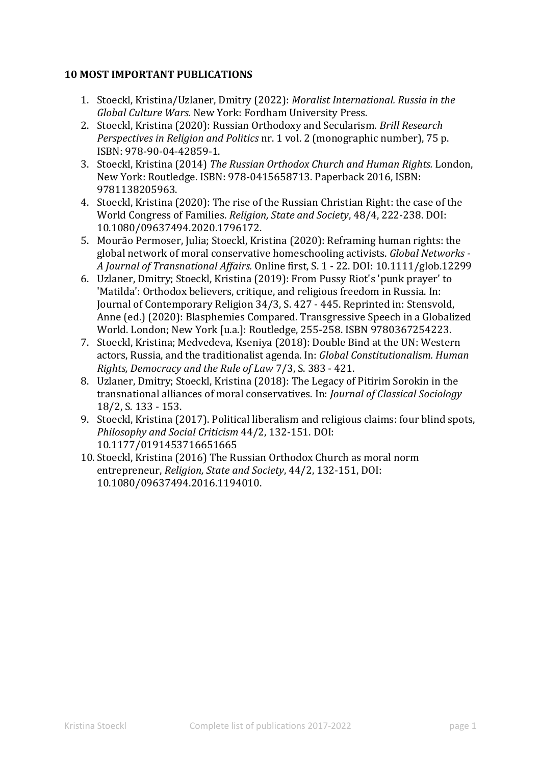# **10 MOST IMPORTANT PUBLICATIONS**

- 1. Stoeckl, Kristina/Uzlaner, Dmitry (2022): *Moralist International. Russia in the Global Culture Wars.* New York: Fordham University Press.
- 2. Stoeckl, Kristina (2020): Russian Orthodoxy and Secularism. *Brill Research Perspectives in Religion and Politics* nr. 1 vol. 2 (monographic number), 75 p. ISBN: 978-90-04-42859-1.
- 3. Stoeckl, Kristina (2014) *The Russian Orthodox Church and Human Rights.* London, New York: Routledge. ISBN: 978-0415658713. Paperback 2016, ISBN: 9781138205963.
- 4. Stoeckl, Kristina (2020): The rise of the Russian Christian Right: the case of the World Congress of Families. *Religion, State and Society*, 48/4, 222-238. DOI: 10.1080/09637494.2020.1796172.
- 5. Mourão Permoser, Julia; Stoeckl, Kristina (2020): Reframing human rights: the global network of moral conservative homeschooling activists. *Global Networks - A Journal of Transnational Affairs.* Online first, S. 1 - 22. DOI: 10.1111/glob.12299
- 6. Uzlaner, Dmitry; Stoeckl, Kristina (2019): From Pussy Riot's 'punk prayer' to 'Matilda': Orthodox believers, critique, and religious freedom in Russia. In: Journal of Contemporary Religion 34/3, S. 427 - 445. Reprinted in: Stensvold, Anne (ed.) (2020): Blasphemies Compared. Transgressive Speech in a Globalized World. London; New York [u.a.]: Routledge, 255-258. ISBN 9780367254223.
- 7. Stoeckl, Kristina; Medvedeva, Kseniya (2018): Double Bind at the UN: Western actors, Russia, and the traditionalist agenda. In: *Global Constitutionalism. Human Rights, Democracy and the Rule of Law* 7/3, S. 383 - 421.
- 8. Uzlaner, Dmitry; Stoeckl, Kristina (2018): The Legacy of Pitirim Sorokin in the transnational alliances of moral conservatives. In: *Journal of Classical Sociology* 18/2, S. 133 - 153.
- 9. Stoeckl, Kristina (2017). Political liberalism and religious claims: four blind spots, *Philosophy and Social Criticism* 44/2, 132-151. DOI: 10.1177/0191453716651665
- 10. Stoeckl, Kristina (2016) The Russian Orthodox Church as moral norm entrepreneur, *Religion, State and Society*, 44/2, 132-151, DOI: 10.1080/09637494.2016.1194010.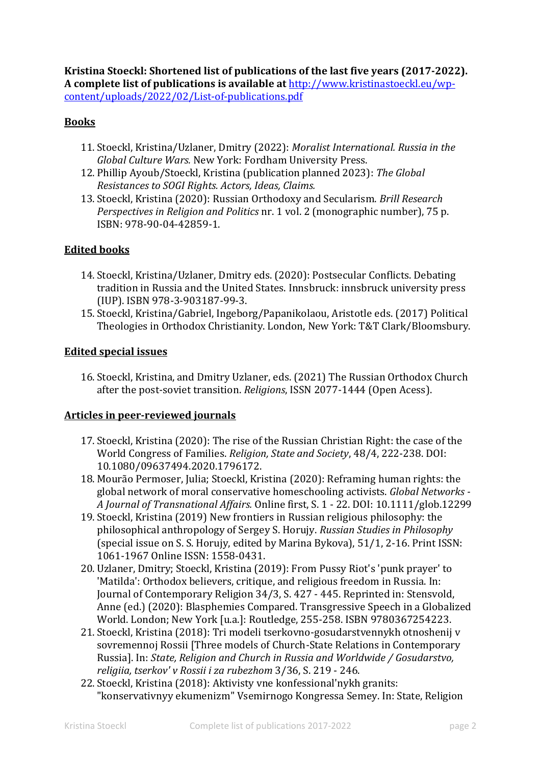**Kristina Stoeckl: Shortened list of publications of the last five years (2017-2022). A complete list of publications is available at** [http://www.kristinastoeckl.eu/wp](http://www.kristinastoeckl.eu/wp-content/uploads/2022/02/List-of-publications.pdf)[content/uploads/2022/02/List-of-publications.pdf](http://www.kristinastoeckl.eu/wp-content/uploads/2022/02/List-of-publications.pdf)

# **Books**

- 11. Stoeckl, Kristina/Uzlaner, Dmitry (2022): *Moralist International. Russia in the Global Culture Wars.* New York: Fordham University Press.
- 12. Phillip Ayoub/Stoeckl, Kristina (publication planned 2023): *The Global Resistances to SOGI Rights. Actors, Ideas, Claims.*
- 13. Stoeckl, Kristina (2020): Russian Orthodoxy and Secularism. *Brill Research Perspectives in Religion and Politics* nr. 1 vol. 2 (monographic number), 75 p. ISBN: 978-90-04-42859-1.

# **Edited books**

- 14. Stoeckl, Kristina/Uzlaner, Dmitry eds. (2020): Postsecular Conflicts. Debating tradition in Russia and the United States. Innsbruck: innsbruck university press (IUP). ISBN 978-3-903187-99-3.
- 15. Stoeckl, Kristina/Gabriel, Ingeborg/Papanikolaou, Aristotle eds. (2017) Political Theologies in Orthodox Christianity. London, New York: T&T Clark/Bloomsbury.

## **Edited special issues**

16. Stoeckl, Kristina, and Dmitry Uzlaner, eds. (2021) The Russian Orthodox Church after the post-soviet transition. *Religions*, ISSN 2077-1444 (Open Acess).

## **Articles in peer-reviewed journals**

- 17. Stoeckl, Kristina (2020): The rise of the Russian Christian Right: the case of the World Congress of Families. *Religion, State and Society*, 48/4, 222-238. DOI: 10.1080/09637494.2020.1796172.
- 18. Mourão Permoser, Julia; Stoeckl, Kristina (2020): Reframing human rights: the global network of moral conservative homeschooling activists. *Global Networks - A Journal of Transnational Affairs.* Online first, S. 1 - 22. DOI: 10.1111/glob.12299
- 19. Stoeckl, Kristina (2019) New frontiers in Russian religious philosophy: the philosophical anthropology of Sergey S. Horujy. *Russian Studies in Philosophy* (special issue on S. S. Horujy, edited by Marina Bykova), 51/1, 2-16. Print ISSN: 1061-1967 Online ISSN: 1558-0431.
- 20. Uzlaner, Dmitry; Stoeckl, Kristina (2019): From Pussy Riot's 'punk prayer' to 'Matilda': Orthodox believers, critique, and religious freedom in Russia. In: Journal of Contemporary Religion 34/3, S. 427 - 445. Reprinted in: Stensvold, Anne (ed.) (2020): Blasphemies Compared. Transgressive Speech in a Globalized World. London; New York [u.a.]: Routledge, 255-258. ISBN 9780367254223.
- 21. Stoeckl, Kristina (2018): Tri modeli tserkovno-gosudarstvennykh otnoshenij v sovremennoj Rossii [Three models of Church-State Relations in Contemporary Russia]. In: *State, Religion and Church in Russia and Worldwide / Gosudarstvo, religiia, tserkov' v Rossii i za rubezhom* 3/36, S. 219 - 246.
- 22. Stoeckl, Kristina (2018): Aktivisty vne konfessional'nykh granits: "konservativnyy ekumenizm" Vsemirnogo Kongressa Semey. In: State, Religion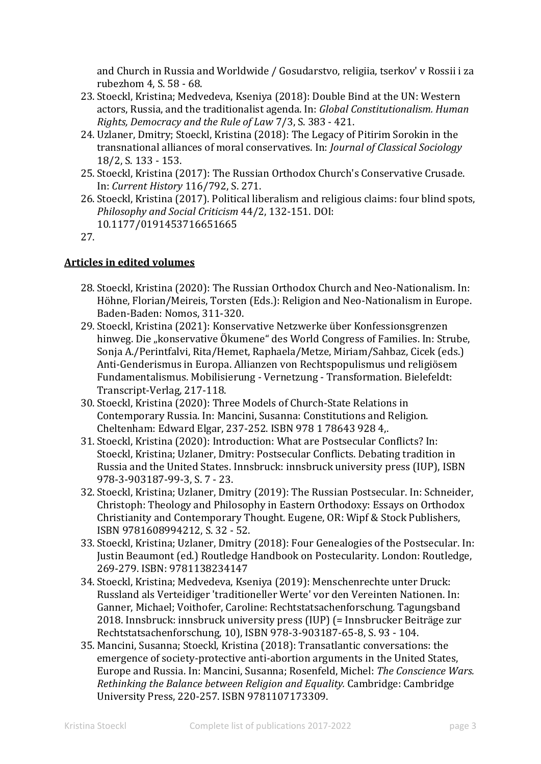and Church in Russia and Worldwide / Gosudarstvo, religiia, tserkov' v Rossii i za rubezhom 4, S. 58 - 68.

- 23. Stoeckl, Kristina; Medvedeva, Kseniya (2018): Double Bind at the UN: Western actors, Russia, and the traditionalist agenda. In: *Global Constitutionalism. Human Rights, Democracy and the Rule of Law* 7/3, S. 383 - 421.
- 24. Uzlaner, Dmitry; Stoeckl, Kristina (2018): The Legacy of Pitirim Sorokin in the transnational alliances of moral conservatives. In: *Journal of Classical Sociology* 18/2, S. 133 - 153.
- 25. Stoeckl, Kristina (2017): The Russian Orthodox Church's Conservative Crusade. In: *Current History* 116/792, S. 271.
- 26. Stoeckl, Kristina (2017). Political liberalism and religious claims: four blind spots, *Philosophy and Social Criticism* 44/2, 132-151. DOI: 10.1177/0191453716651665

27.

## **Articles in edited volumes**

- 28. Stoeckl, Kristina (2020): The Russian Orthodox Church and Neo-Nationalism. In: Höhne, Florian/Meireis, Torsten (Eds.): Religion and Neo-Nationalism in Europe. Baden-Baden: Nomos, 311-320.
- 29. Stoeckl, Kristina (2021): Konservative Netzwerke über Konfessionsgrenzen hinweg. Die "konservative Ökumene" des World Congress of Families. In: Strube, Sonja A./Perintfalvi, Rita/Hemet, Raphaela/Metze, Miriam/Sahbaz, Cicek (eds.) Anti-Genderismus in Europa. Allianzen von Rechtspopulismus und religiösem Fundamentalismus. Mobilisierung - Vernetzung - Transformation. Bielefeldt: Transcript-Verlag, 217-118.
- 30. Stoeckl, Kristina (2020): Three Models of Church-State Relations in Contemporary Russia. In: Mancini, Susanna: Constitutions and Religion. Cheltenham: Edward Elgar, 237-252. ISBN 978 1 78643 928 4,.
- 31. Stoeckl, Kristina (2020): Introduction: What are Postsecular Conflicts? In: Stoeckl, Kristina; Uzlaner, Dmitry: Postsecular Conflicts. Debating tradition in Russia and the United States. Innsbruck: innsbruck university press (IUP), ISBN 978-3-903187-99-3, S. 7 - 23.
- 32. Stoeckl, Kristina; Uzlaner, Dmitry (2019): The Russian Postsecular. In: Schneider, Christoph: Theology and Philosophy in Eastern Orthodoxy: Essays on Orthodox Christianity and Contemporary Thought. Eugene, OR: Wipf & Stock Publishers, ISBN 9781608994212, S. 32 - 52.
- 33. Stoeckl, Kristina; Uzlaner, Dmitry (2018): Four Genealogies of the Postsecular. In: Justin Beaumont (ed.) Routledge Handbook on Postecularity. London: Routledge, 269-279. ISBN: 9781138234147
- 34. Stoeckl, Kristina; Medvedeva, Kseniya (2019): Menschenrechte unter Druck: Russland als Verteidiger 'traditioneller Werte' vor den Vereinten Nationen. In: Ganner, Michael; Voithofer, Caroline: Rechtstatsachenforschung. Tagungsband 2018. Innsbruck: innsbruck university press (IUP) (= Innsbrucker Beiträge zur Rechtstatsachenforschung, 10), ISBN 978-3-903187-65-8, S. 93 - 104.
- 35. Mancini, Susanna; Stoeckl, Kristina (2018): Transatlantic conversations: the emergence of society-protective anti-abortion arguments in the United States, Europe and Russia. In: Mancini, Susanna; Rosenfeld, Michel: *The Conscience Wars. Rethinking the Balance between Religion and Equality.* Cambridge: Cambridge University Press, 220-257. ISBN 9781107173309.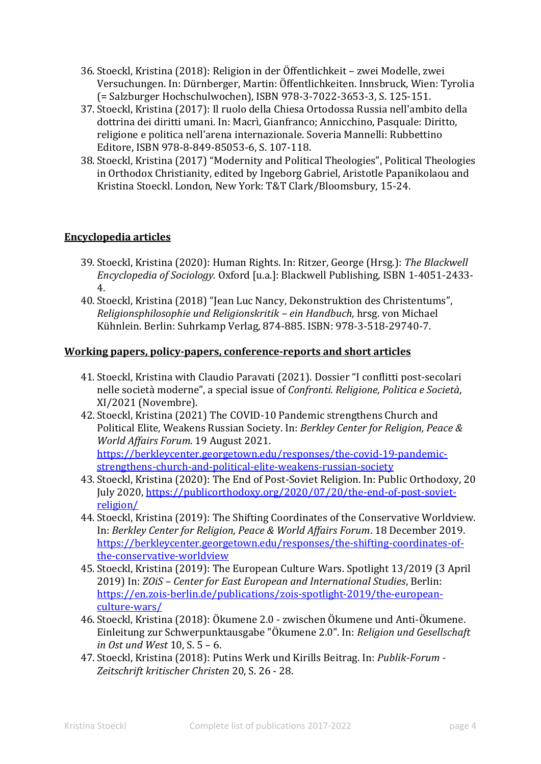- 36. Stoeckl, Kristina (2018): Religion in der Öffentlichkeit zwei Modelle, zwei Versuchungen. In: Dürnberger, Martin: Öffentlichkeiten. Innsbruck, Wien: Tyrolia (= Salzburger Hochschulwochen), ISBN 978-3-7022-3653-3, S. 125-151.
- 37. Stoeckl, Kristina (2017): Il ruolo della Chiesa Ortodossa Russia nell'ambito della dottrina dei diritti umani. In: Macrì, Gianfranco; Annicchino, Pasquale: Diritto, religione e politica nell'arena internazionale. Soveria Mannelli: Rubbettino Editore, ISBN 978-8-849-85053-6, S. 107-118.
- 38. Stoeckl, Kristina (2017) "Modernity and Political Theologies", Political Theologies in Orthodox Christianity, edited by Ingeborg Gabriel, Aristotle Papanikolaou and Kristina Stoeckl. London, New York: T&T Clark/Bloomsbury, 15-24.

# **Encyclopedia articles**

- 39. Stoeckl, Kristina (2020): Human Rights. In: Ritzer, George (Hrsg.): *The Blackwell Encyclopedia of Sociology.* Oxford [u.a.]: Blackwell Publishing, ISBN 1-4051-2433- 4.
- 40. Stoeckl, Kristina (2018) "Jean Luc Nancy, Dekonstruktion des Christentums", *Religionsphilosophie und Religionskritik – ein Handbuch*, hrsg. von Michael Kühnlein. Berlin: Suhrkamp Verlag, 874-885. ISBN: 978-3-518-29740-7.

#### **Working papers, policy-papers, conference-reports and short articles**

- 41. Stoeckl, Kristina with Claudio Paravati (2021). Dossier "I conflitti post-secolari nelle società moderne", a special issue of *Confronti. Religione, Politica e Società*, XI/2021 (Novembre).
- 42. Stoeckl, Kristina (2021) The COVID-10 Pandemic strengthens Church and Political Elite, Weakens Russian Society. In: *Berkley Center for Religion, Peace & World Affairs Forum*. 19 August 2021. [https://berkleycenter.georgetown.edu/responses/the-covid-19-pandemic](https://berkleycenter.georgetown.edu/responses/the-covid-19-pandemic-strengthens-church-and-political-elite-weakens-russian-society)[strengthens-church-and-political-elite-weakens-russian-society](https://berkleycenter.georgetown.edu/responses/the-covid-19-pandemic-strengthens-church-and-political-elite-weakens-russian-society)
- 43. Stoeckl, Kristina (2020): The End of Post-Soviet Religion. In: Public Orthodoxy, 20 July 2020, [https://publicorthodoxy.org/2020/07/20/the-end-of-post-soviet](https://publicorthodoxy.org/2020/07/20/the-end-of-post-soviet-religion/)[religion/](https://publicorthodoxy.org/2020/07/20/the-end-of-post-soviet-religion/)
- 44. Stoeckl, Kristina (2019): The Shifting Coordinates of the Conservative Worldview. In: *Berkley Center for Religion, Peace & World Affairs Forum*. 18 December 2019. [https://berkleycenter.georgetown.edu/responses/the-shifting-coordinates-of](https://berkleycenter.georgetown.edu/responses/the-shifting-coordinates-of-the-conservative-worldview)[the-conservative-worldview](https://berkleycenter.georgetown.edu/responses/the-shifting-coordinates-of-the-conservative-worldview)
- 45. Stoeckl, Kristina (2019): The European Culture Wars. Spotlight 13/2019 (3 April 2019) In: *ZOiS – Center for East European and International Studies*, Berlin: [https://en.zois-berlin.de/publications/zois-spotlight-2019/the-european](https://en.zois-berlin.de/publications/zois-spotlight-2019/the-european-culture-wars/)[culture-wars/](https://en.zois-berlin.de/publications/zois-spotlight-2019/the-european-culture-wars/)
- 46. Stoeckl, Kristina (2018): Ökumene 2.0 zwischen Ökumene und Anti-Ökumene. Einleitung zur Schwerpunktausgabe "Ökumene 2.0". In: *Religion und Gesellschaft in Ost und West* 10, S. 5 – 6.
- 47. Stoeckl, Kristina (2018): Putins Werk und Kirills Beitrag. In: *Publik-Forum - Zeitschrift kritischer Christen* 20, S. 26 - 28.